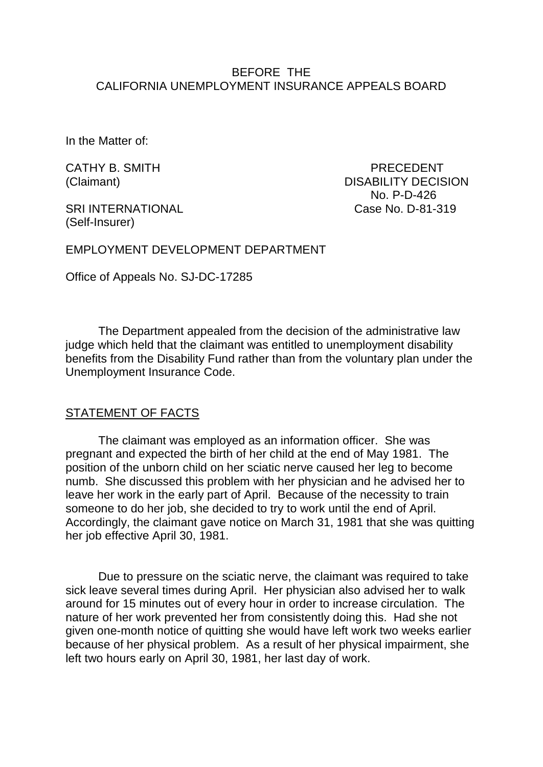## BEFORE THE CALIFORNIA UNEMPLOYMENT INSURANCE APPEALS BOARD

In the Matter of:

SRI INTERNATIONAL Case No. D-81-319 (Self-Insurer)

CATHY B. SMITH PRECEDENT (Claimant) DISABILITY DECISION No. P-D-426

EMPLOYMENT DEVELOPMENT DEPARTMENT

Office of Appeals No. SJ-DC-17285

The Department appealed from the decision of the administrative law judge which held that the claimant was entitled to unemployment disability benefits from the Disability Fund rather than from the voluntary plan under the Unemployment Insurance Code.

#### STATEMENT OF FACTS

The claimant was employed as an information officer. She was pregnant and expected the birth of her child at the end of May 1981. The position of the unborn child on her sciatic nerve caused her leg to become numb. She discussed this problem with her physician and he advised her to leave her work in the early part of April. Because of the necessity to train someone to do her job, she decided to try to work until the end of April. Accordingly, the claimant gave notice on March 31, 1981 that she was quitting her job effective April 30, 1981.

Due to pressure on the sciatic nerve, the claimant was required to take sick leave several times during April. Her physician also advised her to walk around for 15 minutes out of every hour in order to increase circulation. The nature of her work prevented her from consistently doing this. Had she not given one-month notice of quitting she would have left work two weeks earlier because of her physical problem. As a result of her physical impairment, she left two hours early on April 30, 1981, her last day of work.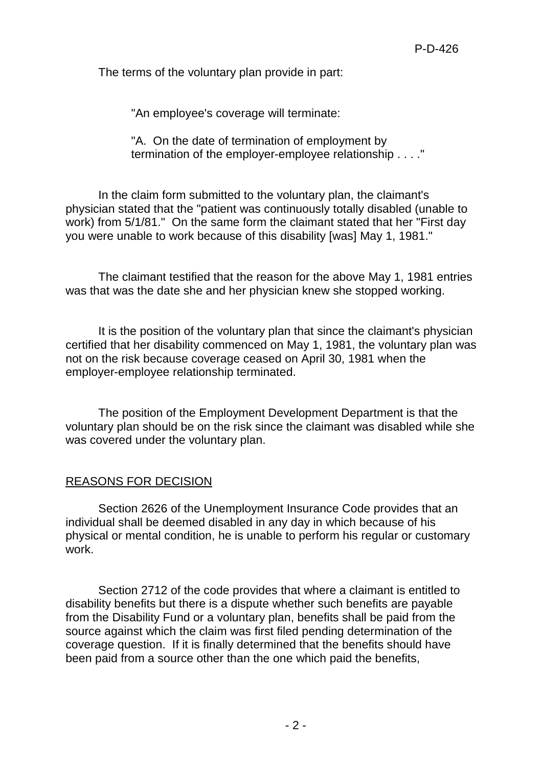The terms of the voluntary plan provide in part:

"An employee's coverage will terminate:

"A. On the date of termination of employment by termination of the employer-employee relationship . . . ."

In the claim form submitted to the voluntary plan, the claimant's physician stated that the "patient was continuously totally disabled (unable to work) from 5/1/81." On the same form the claimant stated that her "First day you were unable to work because of this disability [was] May 1, 1981."

The claimant testified that the reason for the above May 1, 1981 entries was that was the date she and her physician knew she stopped working.

It is the position of the voluntary plan that since the claimant's physician certified that her disability commenced on May 1, 1981, the voluntary plan was not on the risk because coverage ceased on April 30, 1981 when the employer-employee relationship terminated.

The position of the Employment Development Department is that the voluntary plan should be on the risk since the claimant was disabled while she was covered under the voluntary plan.

# REASONS FOR DECISION

Section 2626 of the Unemployment Insurance Code provides that an individual shall be deemed disabled in any day in which because of his physical or mental condition, he is unable to perform his regular or customary work.

Section 2712 of the code provides that where a claimant is entitled to disability benefits but there is a dispute whether such benefits are payable from the Disability Fund or a voluntary plan, benefits shall be paid from the source against which the claim was first filed pending determination of the coverage question. If it is finally determined that the benefits should have been paid from a source other than the one which paid the benefits,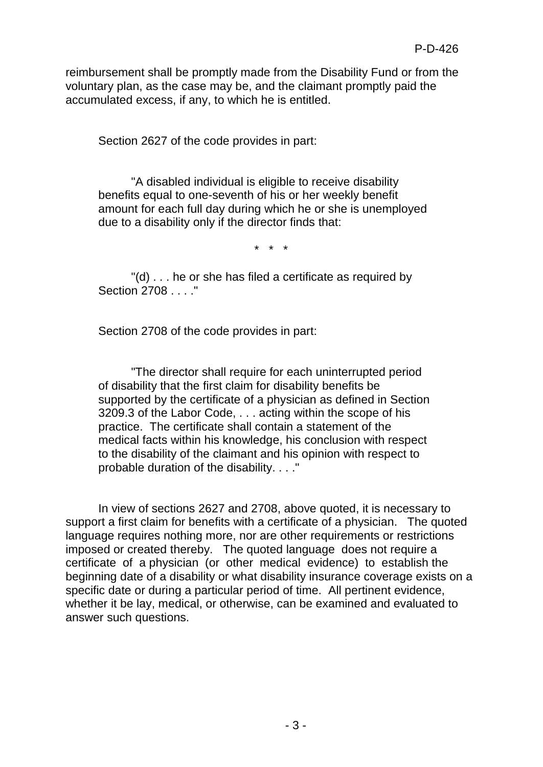reimbursement shall be promptly made from the Disability Fund or from the voluntary plan, as the case may be, and the claimant promptly paid the accumulated excess, if any, to which he is entitled.

Section 2627 of the code provides in part:

"A disabled individual is eligible to receive disability benefits equal to one-seventh of his or her weekly benefit amount for each full day during which he or she is unemployed due to a disability only if the director finds that:

\* \* \*

"(d) . . . he or she has filed a certificate as required by Section 2708 . . . ."

Section 2708 of the code provides in part:

"The director shall require for each uninterrupted period of disability that the first claim for disability benefits be supported by the certificate of a physician as defined in Section 3209.3 of the Labor Code, . . . acting within the scope of his practice. The certificate shall contain a statement of the medical facts within his knowledge, his conclusion with respect to the disability of the claimant and his opinion with respect to probable duration of the disability. . . ."

In view of sections 2627 and 2708, above quoted, it is necessary to support a first claim for benefits with a certificate of a physician. The quoted language requires nothing more, nor are other requirements or restrictions imposed or created thereby. The quoted language does not require a certificate of a physician (or other medical evidence) to establish the beginning date of a disability or what disability insurance coverage exists on a specific date or during a particular period of time. All pertinent evidence, whether it be lay, medical, or otherwise, can be examined and evaluated to answer such questions.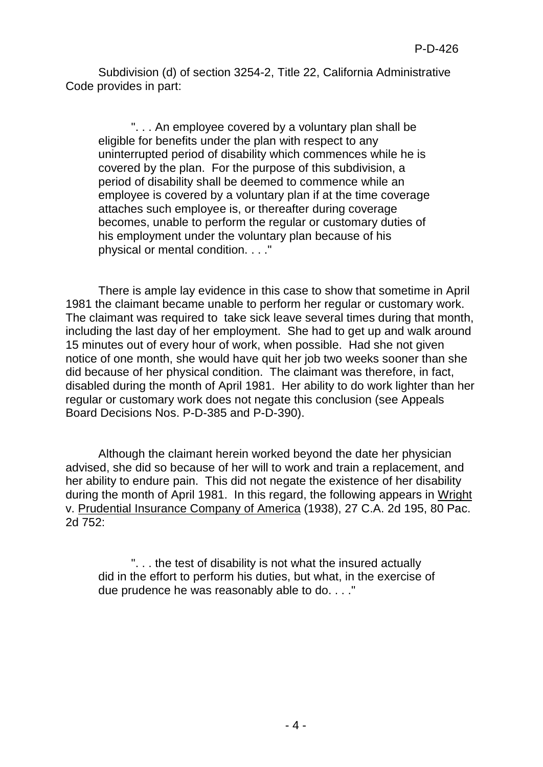Subdivision (d) of section 3254-2, Title 22, California Administrative Code provides in part:

". . . An employee covered by a voluntary plan shall be eligible for benefits under the plan with respect to any uninterrupted period of disability which commences while he is covered by the plan. For the purpose of this subdivision, a period of disability shall be deemed to commence while an employee is covered by a voluntary plan if at the time coverage attaches such employee is, or thereafter during coverage becomes, unable to perform the regular or customary duties of his employment under the voluntary plan because of his physical or mental condition. . . ."

There is ample lay evidence in this case to show that sometime in April 1981 the claimant became unable to perform her regular or customary work. The claimant was required to take sick leave several times during that month, including the last day of her employment. She had to get up and walk around 15 minutes out of every hour of work, when possible. Had she not given notice of one month, she would have quit her job two weeks sooner than she did because of her physical condition. The claimant was therefore, in fact, disabled during the month of April 1981. Her ability to do work lighter than her regular or customary work does not negate this conclusion (see Appeals Board Decisions Nos. P-D-385 and P-D-390).

Although the claimant herein worked beyond the date her physician advised, she did so because of her will to work and train a replacement, and her ability to endure pain. This did not negate the existence of her disability during the month of April 1981. In this regard, the following appears in Wright v. Prudential Insurance Company of America (1938), 27 C.A. 2d 195, 80 Pac. 2d 752:

". . . the test of disability is not what the insured actually did in the effort to perform his duties, but what, in the exercise of due prudence he was reasonably able to do. . . ."